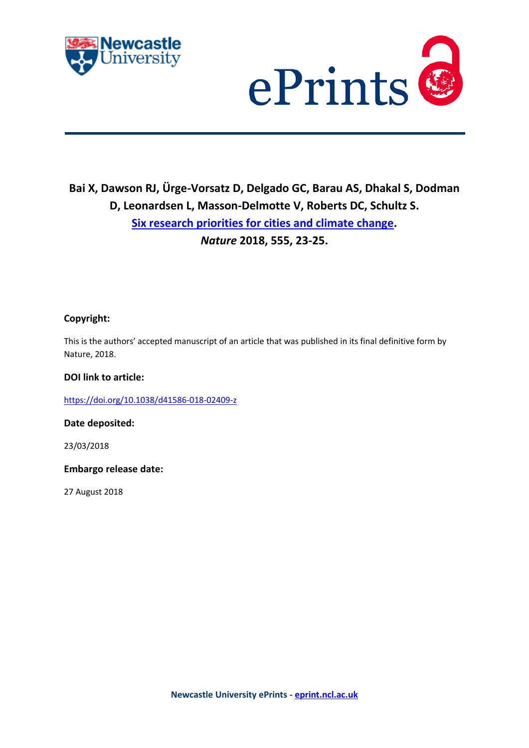



# **Bai X, Dawson RJ, Ürge-Vorsatz D, Delgado GC, Barau AS, Dhakal S, Dodman D, Leonardsen L, Masson-Delmotte V, Roberts DC, Schultz S. [Six research priorities for cities and climate change.](https://myimpact.ncl.ac.uk/ViewPublication.aspx?id=247016)**  *Nature* **2018, 555, 23-25.**

### **Copyright:**

This is the authors' accepted manuscript of an article that was published in its final definitive form by Nature, 2018.

#### **DOI link to article:**

<https://doi.org/10.1038/d41586-018-02409-z>

**Date deposited:** 

23/03/2018

**Embargo release date:**

27 August 2018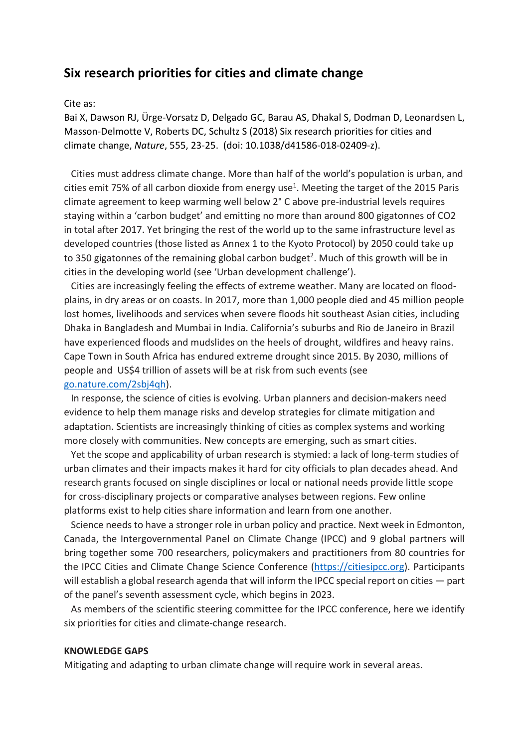## **Six research priorities for cities and climate change**

#### Cite as:

Bai X, Dawson RJ, Ürge‐Vorsatz D, Delgado GC, Barau AS, Dhakal S, Dodman D, Leonardsen L, Masson‐Delmotte V, Roberts DC, Schultz S (2018) Six research priorities for cities and climate change, *Nature*, 555, 23‐25. (doi: 10.1038/d41586‐018‐02409‐z).

Cities must address climate change. More than half of the world's population is urban, and cities emit 75% of all carbon dioxide from energy use<sup>1</sup>. Meeting the target of the 2015 Paris climate agreement to keep warming well below 2° C above pre‐industrial levels requires staying within a 'carbon budget' and emitting no more than around 800 gigatonnes of CO2 in total after 2017. Yet bringing the rest of the world up to the same infrastructure level as developed countries (those listed as Annex 1 to the Kyoto Protocol) by 2050 could take up to 350 gigatonnes of the remaining global carbon budget<sup>2</sup>. Much of this growth will be in cities in the developing world (see 'Urban development challenge').

Cities are increasingly feeling the effects of extreme weather. Many are located on flood‐ plains, in dry areas or on coasts. In 2017, more than 1,000 people died and 45 million people lost homes, livelihoods and services when severe floods hit southeast Asian cities, including Dhaka in Bangladesh and Mumbai in India. California's suburbs and Rio de Janeiro in Brazil have experienced floods and mudslides on the heels of drought, wildfires and heavy rains. Cape Town in South Africa has endured extreme drought since 2015. By 2030, millions of people and US\$4 trillion of assets will be at risk from such events (see go.nature.com/2sbj4qh).

In response, the science of cities is evolving. Urban planners and decision‐makers need evidence to help them manage risks and develop strategies for climate mitigation and adaptation. Scientists are increasingly thinking of cities as complex systems and working more closely with communities. New concepts are emerging, such as smart cities.

Yet the scope and applicability of urban research is stymied: a lack of long-term studies of urban climates and their impacts makes it hard for city officials to plan decades ahead. And research grants focused on single disciplines or local or national needs provide little scope for cross-disciplinary projects or comparative analyses between regions. Few online platforms exist to help cities share information and learn from one another.

Science needs to have a stronger role in urban policy and practice. Next week in Edmonton, Canada, the Intergovernmental Panel on Climate Change (IPCC) and 9 global partners will bring together some 700 researchers, policymakers and practitioners from 80 countries for the IPCC Cities and Climate Change Science Conference (https://citiesipcc.org). Participants will establish a global research agenda that will inform the IPCC special report on cities — part of the panel's seventh assessment cycle, which begins in 2023.

As members of the scientific steering committee for the IPCC conference, here we identify six priorities for cities and climate‐change research.

#### **KNOWLEDGE GAPS**

Mitigating and adapting to urban climate change will require work in several areas.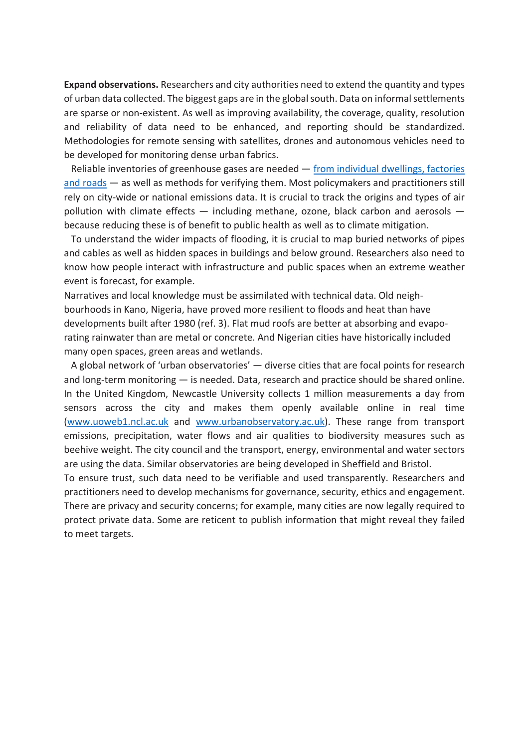**Expand observations.** Researchers and city authorities need to extend the quantity and types of urban data collected. The biggest gaps are in the global south. Data on informal settlements are sparse or non‐existent. As well as improving availability, the coverage, quality, resolution and reliability of data need to be enhanced, and reporting should be standardized. Methodologies for remote sensing with satellites, drones and autonomous vehicles need to be developed for monitoring dense urban fabrics.

Reliable inventories of greenhouse gases are needed - from individual dwellings, factories and roads — as well as methods for verifying them. Most policymakers and practitioners still rely on city‐wide or national emissions data. It is crucial to track the origins and types of air pollution with climate effects  $-$  including methane, ozone, black carbon and aerosols  $$ because reducing these is of benefit to public health as well as to climate mitigation.

To understand the wider impacts of flooding, it is crucial to map buried networks of pipes and cables as well as hidden spaces in buildings and below ground. Researchers also need to know how people interact with infrastructure and public spaces when an extreme weather event is forecast, for example.

Narratives and local knowledge must be assimilated with technical data. Old neigh‐ bourhoods in Kano, Nigeria, have proved more resilient to floods and heat than have developments built after 1980 (ref. 3). Flat mud roofs are better at absorbing and evapo‐ rating rainwater than are metal or concrete. And Nigerian cities have historically included many open spaces, green areas and wetlands.

A global network of 'urban observatories' — diverse cities that are focal points for research and long-term monitoring — is needed. Data, research and practice should be shared online. In the United Kingdom, Newcastle University collects 1 million measurements a day from sensors across the city and makes them openly available online in real time (www.uoweb1.ncl.ac.uk and www.urbanobservatory.ac.uk). These range from transport emissions, precipitation, water flows and air qualities to biodiversity measures such as beehive weight. The city council and the transport, energy, environmental and water sectors are using the data. Similar observatories are being developed in Sheffield and Bristol.

To ensure trust, such data need to be verifiable and used transparently. Researchers and practitioners need to develop mechanisms for governance, security, ethics and engagement. There are privacy and security concerns; for example, many cities are now legally required to protect private data. Some are reticent to publish information that might reveal they failed to meet targets.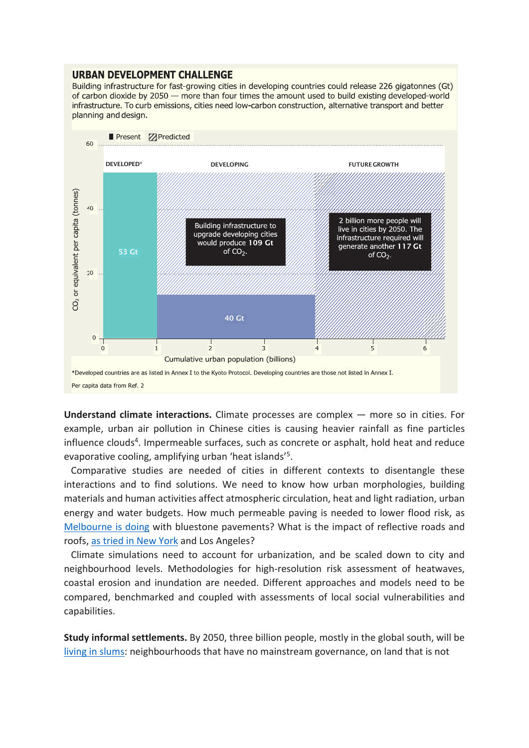#### **URBAN DEVELOPMENT CHALLENGE**

Building infrastructure for fast-growing cities in developing countries could release 226 gigatonnes (Gt) of carbon dioxide by 2050 - more than four times the amount used to build existing developed-world infrastructure. To curb emissions, cities need low-carbon construction, alternative transport and better planning and design.



**Understand climate interactions.** Climate processes are complex — more so in cities. For example, urban air pollution in Chinese cities is causing heavier rainfall as fine particles influence clouds<sup>4</sup>. Impermeable surfaces, such as concrete or asphalt, hold heat and reduce evaporative cooling, amplifying urban 'heat islands'5.

Comparative studies are needed of cities in different contexts to disentangle these interactions and to find solutions. We need to know how urban morphologies, building materials and human activities affect atmospheric circulation, heat and light radiation, urban energy and water budgets. How much permeable paving is needed to lower flood risk, as Melbourne is doing with bluestone pavements? What is the impact of reflective roads and roofs, as tried in New York and Los Angeles?

Climate simulations need to account for urbanization, and be scaled down to city and neighbourhood levels. Methodologies for high-resolution risk assessment of heatwaves, coastal erosion and inundation are needed. Different approaches and models need to be compared, benchmarked and coupled with assessments of local social vulnerabilities and capabilities.

**Study informal settlements.** By 2050, three billion people, mostly in the global south, will be living in slums: neighbourhoods that have no mainstream governance, on land that is not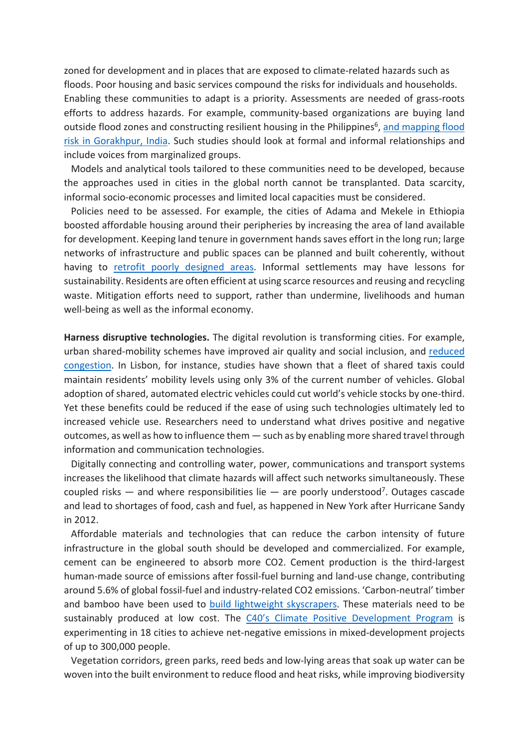zoned for development and in places that are exposed to climate‐related hazards such as floods. Poor housing and basic services compound the risks for individuals and households. Enabling these communities to adapt is a priority. Assessments are needed of grass‐roots efforts to address hazards. For example, community‐based organizations are buying land outside flood zones and constructing resilient housing in the Philippines<sup>6</sup>, and mapping flood risk in Gorakhpur, India. Such studies should look at formal and informal relationships and include voices from marginalized groups.

Models and analytical tools tailored to these communities need to be developed, because the approaches used in cities in the global north cannot be transplanted. Data scarcity, informal socio‐economic processes and limited local capacities must be considered.

Policies need to be assessed. For example, the cities of Adama and Mekele in Ethiopia boosted affordable housing around their peripheries by increasing the area of land available for development. Keeping land tenure in government hands saves effort in the long run; large networks of infrastructure and public spaces can be planned and built coherently, without having to retrofit poorly designed areas. Informal settlements may have lessons for sustainability. Residents are often efficient at using scarce resources and reusing and recycling waste. Mitigation efforts need to support, rather than undermine, livelihoods and human well-being as well as the informal economy.

**Harness disruptive technologies.** The digital revolution is transforming cities. For example, urban shared‐mobility schemes have improved air quality and social inclusion, and reduced congestion. In Lisbon, for instance, studies have shown that a fleet of shared taxis could maintain residents' mobility levels using only 3% of the current number of vehicles. Global adoption of shared, automated electric vehicles could cut world's vehicle stocks by one‐third. Yet these benefits could be reduced if the ease of using such technologies ultimately led to increased vehicle use. Researchers need to understand what drives positive and negative outcomes, as well as how to influence them — such as by enabling more shared travel through information and communication technologies.

Digitally connecting and controlling water, power, communications and transport systems increases the likelihood that climate hazards will affect such networks simultaneously. These coupled risks — and where responsibilities lie — are poorly understood<sup>7</sup>. Outages cascade and lead to shortages of food, cash and fuel, as happened in New York after Hurricane Sandy in 2012.

Affordable materials and technologies that can reduce the carbon intensity of future infrastructure in the global south should be developed and commercialized. For example, cement can be engineered to absorb more CO2. Cement production is the third‐largest human‐made source of emissions after fossil‐fuel burning and land‐use change, contributing around 5.6% of global fossil‐fuel and industry‐related CO2 emissions. 'Carbon‐neutral' timber and bamboo have been used to build lightweight skyscrapers. These materials need to be sustainably produced at low cost. The C40's Climate Positive Development Program is experimenting in 18 cities to achieve net-negative emissions in mixed-development projects of up to 300,000 people.

Vegetation corridors, green parks, reed beds and low‐lying areas that soak up water can be woven into the built environment to reduce flood and heat risks, while improving biodiversity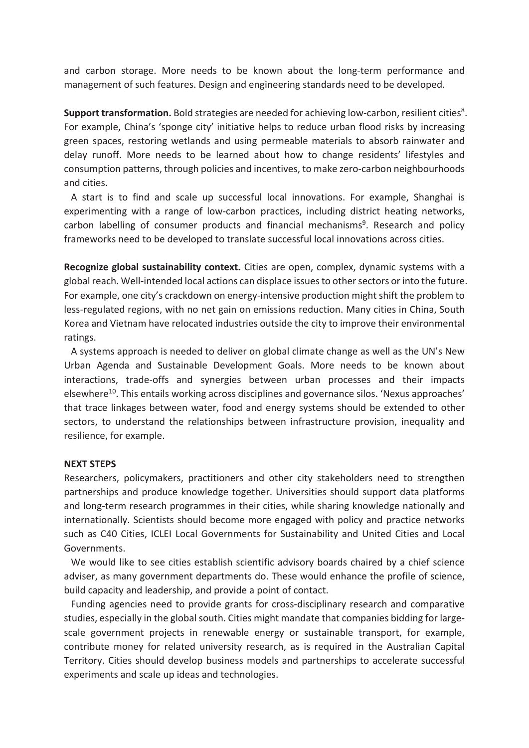and carbon storage. More needs to be known about the long-term performance and management of such features. Design and engineering standards need to be developed.

**Support transformation.** Bold strategies are needed for achieving low-carbon, resilient cities<sup>8</sup>. For example, China's 'sponge city' initiative helps to reduce urban flood risks by increasing green spaces, restoring wetlands and using permeable materials to absorb rainwater and delay runoff. More needs to be learned about how to change residents' lifestyles and consumption patterns, through policies and incentives, to make zero-carbon neighbourhoods and cities.

A start is to find and scale up successful local innovations. For example, Shanghai is experimenting with a range of low‐carbon practices, including district heating networks, carbon labelling of consumer products and financial mechanisms<sup>9</sup>. Research and policy frameworks need to be developed to translate successful local innovations across cities.

**Recognize global sustainability context.** Cities are open, complex, dynamic systems with a global reach. Well-intended local actions can displace issues to other sectors or into the future. For example, one city's crackdown on energy-intensive production might shift the problem to less‐regulated regions, with no net gain on emissions reduction. Many cities in China, South Korea and Vietnam have relocated industries outside the city to improve their environmental ratings.

A systems approach is needed to deliver on global climate change as well as the UN's New Urban Agenda and Sustainable Development Goals. More needs to be known about interactions, trade‐offs and synergies between urban processes and their impacts elsewhere<sup>10</sup>. This entails working across disciplines and governance silos. 'Nexus approaches' that trace linkages between water, food and energy systems should be extended to other sectors, to understand the relationships between infrastructure provision, inequality and resilience, for example.

#### **NEXT STEPS**

Researchers, policymakers, practitioners and other city stakeholders need to strengthen partnerships and produce knowledge together. Universities should support data platforms and long-term research programmes in their cities, while sharing knowledge nationally and internationally. Scientists should become more engaged with policy and practice networks such as C40 Cities, ICLEI Local Governments for Sustainability and United Cities and Local Governments.

We would like to see cities establish scientific advisory boards chaired by a chief science adviser, as many government departments do. These would enhance the profile of science, build capacity and leadership, and provide a point of contact.

Funding agencies need to provide grants for cross-disciplinary research and comparative studies, especially in the global south. Cities might mandate that companies bidding for large‐ scale government projects in renewable energy or sustainable transport, for example, contribute money for related university research, as is required in the Australian Capital Territory. Cities should develop business models and partnerships to accelerate successful experiments and scale up ideas and technologies.